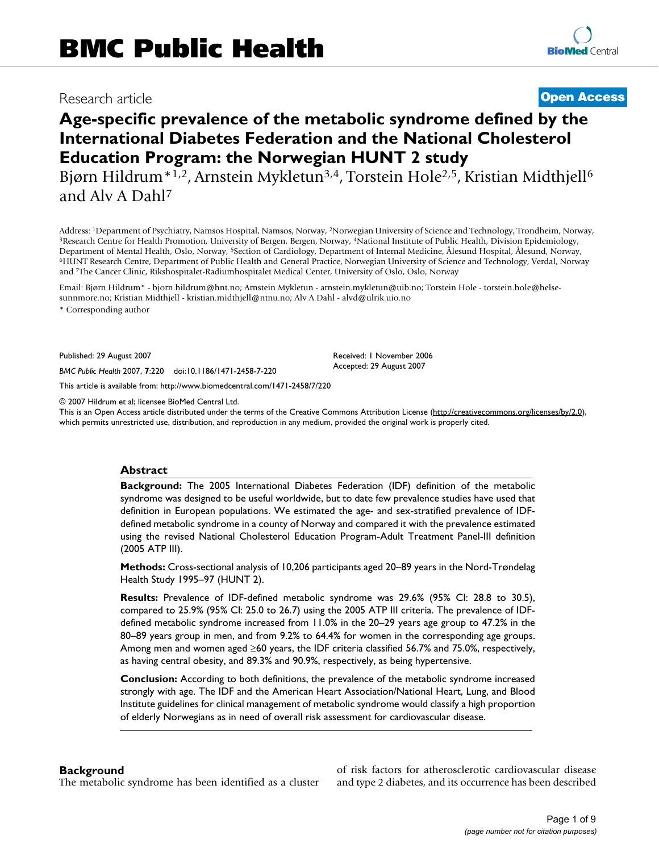## Research article **[Open Access](http://www.biomedcentral.com/info/about/charter/)**

# **Age-specific prevalence of the metabolic syndrome defined by the International Diabetes Federation and the National Cholesterol Education Program: the Norwegian HUNT 2 study**

Bjørn Hildrum<sup>\*1,2</sup>, Arnstein Mykletun<sup>3,4</sup>, Torstein Hole<sup>2,5</sup>, Kristian Midthjell<sup>6</sup> and Alv A Dahl7

Address: <sup>1</sup>Department of Psychiatry, Namsos Hospital, Namsos, Norway, <sup>2</sup>Norwegian University of Science and Technology, Trondheim, Norway, <sup>3</sup>Research Centre for Health Promotion, University of Bergen, Bergen, Norway, <sup>4</sup> Department of Mental Health, Oslo, Norway, <sup>5</sup>Section of Cardiology, Department of Internal Medicine, Ålesund Hospital, Ålesund, Norway,<br><sup>6</sup>HUNT Research Centre, Department of Public Health and General Practice, Norwegian and 7The Cancer Clinic, Rikshospitalet-Radiumhospitalet Medical Center, University of Oslo, Oslo, Norway

Email: Bjørn Hildrum\* - bjorn.hildrum@hnt.no; Arnstein Mykletun - arnstein.mykletun@uib.no; Torstein Hole - torstein.hole@helsesunnmore.no; Kristian Midthjell - kristian.midthjell@ntnu.no; Alv A Dahl - alvd@ulrik.uio.no

\* Corresponding author

Published: 29 August 2007

*BMC Public Health* 2007, **7**:220 doi:10.1186/1471-2458-7-220

[This article is available from: http://www.biomedcentral.com/1471-2458/7/220](http://www.biomedcentral.com/1471-2458/7/220)

© 2007 Hildrum et al; licensee BioMed Central Ltd.

This is an Open Access article distributed under the terms of the Creative Commons Attribution License [\(http://creativecommons.org/licenses/by/2.0\)](http://creativecommons.org/licenses/by/2.0), which permits unrestricted use, distribution, and reproduction in any medium, provided the original work is properly cited.

Received: 1 November 2006 Accepted: 29 August 2007

### **Abstract**

**Background:** The 2005 International Diabetes Federation (IDF) definition of the metabolic syndrome was designed to be useful worldwide, but to date few prevalence studies have used that definition in European populations. We estimated the age- and sex-stratified prevalence of IDFdefined metabolic syndrome in a county of Norway and compared it with the prevalence estimated using the revised National Cholesterol Education Program-Adult Treatment Panel-III definition (2005 ATP III).

**Methods:** Cross-sectional analysis of 10,206 participants aged 20–89 years in the Nord-Trøndelag Health Study 1995–97 (HUNT 2).

**Results:** Prevalence of IDF-defined metabolic syndrome was 29.6% (95% CI: 28.8 to 30.5), compared to 25.9% (95% CI: 25.0 to 26.7) using the 2005 ATP III criteria. The prevalence of IDFdefined metabolic syndrome increased from 11.0% in the 20–29 years age group to 47.2% in the 80–89 years group in men, and from 9.2% to 64.4% for women in the corresponding age groups. Among men and women aged ≥60 years, the IDF criteria classified 56.7% and 75.0%, respectively, as having central obesity, and 89.3% and 90.9%, respectively, as being hypertensive.

**Conclusion:** According to both definitions, the prevalence of the metabolic syndrome increased strongly with age. The IDF and the American Heart Association/National Heart, Lung, and Blood Institute guidelines for clinical management of metabolic syndrome would classify a high proportion of elderly Norwegians as in need of overall risk assessment for cardiovascular disease.

### **Background**

The metabolic syndrome has been identified as a cluster

of risk factors for atherosclerotic cardiovascular disease and type 2 diabetes, and its occurrence has been described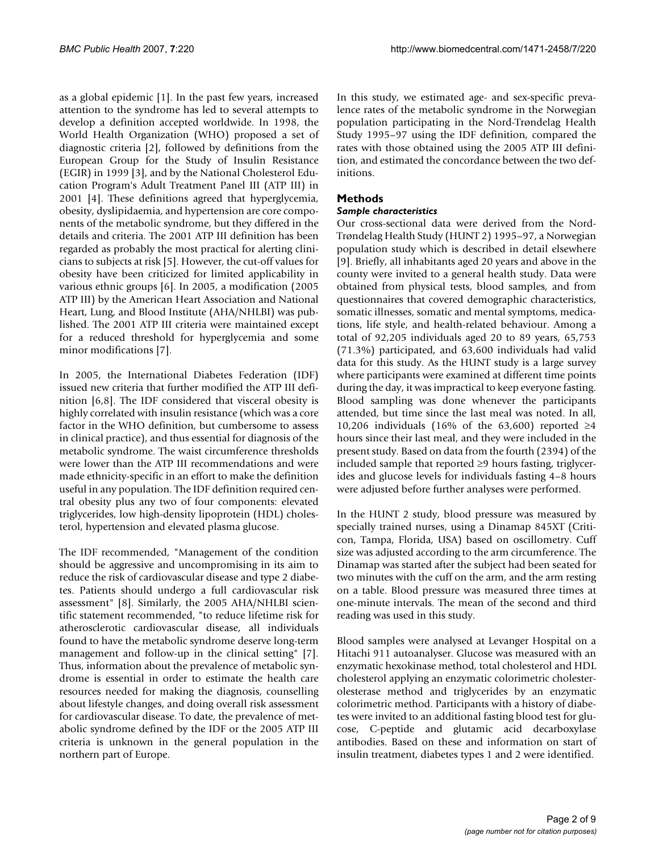as a global epidemic [1]. In the past few years, increased attention to the syndrome has led to several attempts to develop a definition accepted worldwide. In 1998, the World Health Organization (WHO) proposed a set of diagnostic criteria [2], followed by definitions from the European Group for the Study of Insulin Resistance (EGIR) in 1999 [3], and by the National Cholesterol Education Program's Adult Treatment Panel III (ATP III) in 2001 [4]. These definitions agreed that hyperglycemia, obesity, dyslipidaemia, and hypertension are core components of the metabolic syndrome, but they differed in the details and criteria. The 2001 ATP III definition has been regarded as probably the most practical for alerting clinicians to subjects at risk [5]. However, the cut-off values for obesity have been criticized for limited applicability in various ethnic groups [6]. In 2005, a modification (2005 ATP III) by the American Heart Association and National Heart, Lung, and Blood Institute (AHA/NHLBI) was published. The 2001 ATP III criteria were maintained except for a reduced threshold for hyperglycemia and some minor modifications [7].

In 2005, the International Diabetes Federation (IDF) issued new criteria that further modified the ATP III definition [6,8]. The IDF considered that visceral obesity is highly correlated with insulin resistance (which was a core factor in the WHO definition, but cumbersome to assess in clinical practice), and thus essential for diagnosis of the metabolic syndrome. The waist circumference thresholds were lower than the ATP III recommendations and were made ethnicity-specific in an effort to make the definition useful in any population. The IDF definition required central obesity plus any two of four components: elevated triglycerides, low high-density lipoprotein (HDL) cholesterol, hypertension and elevated plasma glucose.

The IDF recommended, "Management of the condition should be aggressive and uncompromising in its aim to reduce the risk of cardiovascular disease and type 2 diabetes. Patients should undergo a full cardiovascular risk assessment" [8]. Similarly, the 2005 AHA/NHLBI scientific statement recommended, "to reduce lifetime risk for atherosclerotic cardiovascular disease, all individuals found to have the metabolic syndrome deserve long-term management and follow-up in the clinical setting" [7]. Thus, information about the prevalence of metabolic syndrome is essential in order to estimate the health care resources needed for making the diagnosis, counselling about lifestyle changes, and doing overall risk assessment for cardiovascular disease. To date, the prevalence of metabolic syndrome defined by the IDF or the 2005 ATP III criteria is unknown in the general population in the northern part of Europe.

In this study, we estimated age- and sex-specific prevalence rates of the metabolic syndrome in the Norwegian population participating in the Nord-Trøndelag Health Study 1995–97 using the IDF definition, compared the rates with those obtained using the 2005 ATP III definition, and estimated the concordance between the two definitions.

## **Methods**

### *Sample characteristics*

Our cross-sectional data were derived from the Nord-Trøndelag Health Study (HUNT 2) 1995–97, a Norwegian population study which is described in detail elsewhere [9]. Briefly, all inhabitants aged 20 years and above in the county were invited to a general health study. Data were obtained from physical tests, blood samples, and from questionnaires that covered demographic characteristics, somatic illnesses, somatic and mental symptoms, medications, life style, and health-related behaviour. Among a total of 92,205 individuals aged 20 to 89 years, 65,753 (71.3%) participated, and 63,600 individuals had valid data for this study. As the HUNT study is a large survey where participants were examined at different time points during the day, it was impractical to keep everyone fasting. Blood sampling was done whenever the participants attended, but time since the last meal was noted. In all, 10,206 individuals (16% of the 63,600) reported ≥4 hours since their last meal, and they were included in the present study. Based on data from the fourth (2394) of the included sample that reported ≥9 hours fasting, triglycerides and glucose levels for individuals fasting 4–8 hours were adjusted before further analyses were performed.

In the HUNT 2 study, blood pressure was measured by specially trained nurses, using a Dinamap 845XT (Criticon, Tampa, Florida, USA) based on oscillometry. Cuff size was adjusted according to the arm circumference. The Dinamap was started after the subject had been seated for two minutes with the cuff on the arm, and the arm resting on a table. Blood pressure was measured three times at one-minute intervals. The mean of the second and third reading was used in this study.

Blood samples were analysed at Levanger Hospital on a Hitachi 911 autoanalyser. Glucose was measured with an enzymatic hexokinase method, total cholesterol and HDL cholesterol applying an enzymatic colorimetric cholesterolesterase method and triglycerides by an enzymatic colorimetric method. Participants with a history of diabetes were invited to an additional fasting blood test for glucose, C-peptide and glutamic acid decarboxylase antibodies. Based on these and information on start of insulin treatment, diabetes types 1 and 2 were identified.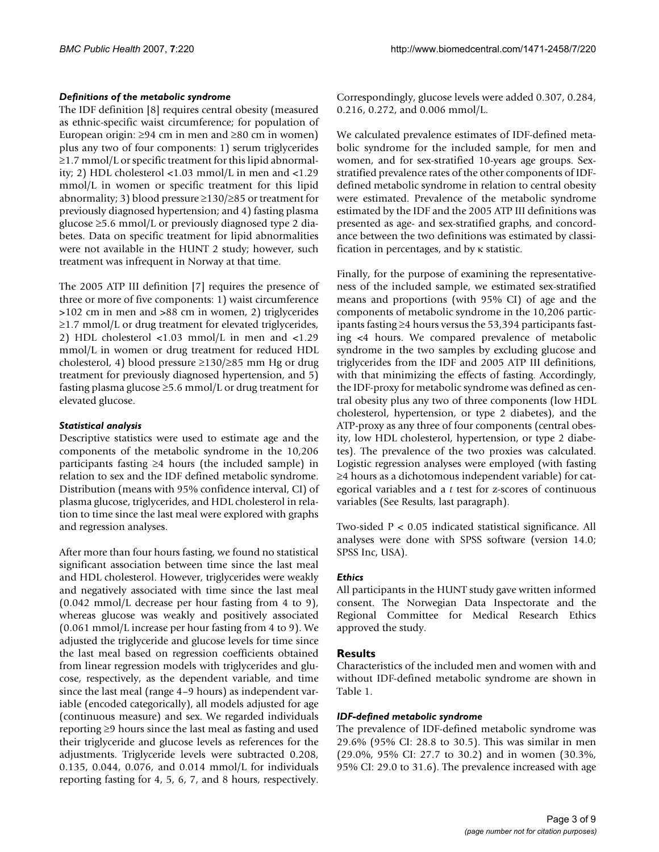### *Definitions of the metabolic syndrome*

The IDF definition [8] requires central obesity (measured as ethnic-specific waist circumference; for population of European origin: ≥94 cm in men and ≥80 cm in women) plus any two of four components: 1) serum triglycerides ≥1.7 mmol/L or specific treatment for this lipid abnormality; 2) HDL cholesterol <1.03 mmol/L in men and <1.29 mmol/L in women or specific treatment for this lipid abnormality; 3) blood pressure ≥130/≥85 or treatment for previously diagnosed hypertension; and 4) fasting plasma glucose ≥5.6 mmol/L or previously diagnosed type 2 diabetes. Data on specific treatment for lipid abnormalities were not available in the HUNT 2 study; however, such treatment was infrequent in Norway at that time.

The 2005 ATP III definition [7] requires the presence of three or more of five components: 1) waist circumference >102 cm in men and >88 cm in women, 2) triglycerides ≥1.7 mmol/L or drug treatment for elevated triglycerides, 2) HDL cholesterol <1.03 mmol/L in men and <1.29 mmol/L in women or drug treatment for reduced HDL cholesterol, 4) blood pressure ≥130/≥85 mm Hg or drug treatment for previously diagnosed hypertension, and 5) fasting plasma glucose ≥5.6 mmol/L or drug treatment for elevated glucose.

### *Statistical analysis*

Descriptive statistics were used to estimate age and the components of the metabolic syndrome in the 10,206 participants fasting ≥4 hours (the included sample) in relation to sex and the IDF defined metabolic syndrome. Distribution (means with 95% confidence interval, CI) of plasma glucose, triglycerides, and HDL cholesterol in relation to time since the last meal were explored with graphs and regression analyses.

After more than four hours fasting, we found no statistical significant association between time since the last meal and HDL cholesterol. However, triglycerides were weakly and negatively associated with time since the last meal (0.042 mmol/L decrease per hour fasting from 4 to 9), whereas glucose was weakly and positively associated (0.061 mmol/L increase per hour fasting from 4 to 9). We adjusted the triglyceride and glucose levels for time since the last meal based on regression coefficients obtained from linear regression models with triglycerides and glucose, respectively, as the dependent variable, and time since the last meal (range 4–9 hours) as independent variable (encoded categorically), all models adjusted for age (continuous measure) and sex. We regarded individuals reporting ≥9 hours since the last meal as fasting and used their triglyceride and glucose levels as references for the adjustments. Triglyceride levels were subtracted 0.208, 0.135, 0.044, 0.076, and 0.014 mmol/L for individuals reporting fasting for 4, 5, 6, 7, and 8 hours, respectively.

Correspondingly, glucose levels were added 0.307, 0.284, 0.216, 0.272, and 0.006 mmol/L.

We calculated prevalence estimates of IDF-defined metabolic syndrome for the included sample, for men and women, and for sex-stratified 10-years age groups. Sexstratified prevalence rates of the other components of IDFdefined metabolic syndrome in relation to central obesity were estimated. Prevalence of the metabolic syndrome estimated by the IDF and the 2005 ATP III definitions was presented as age- and sex-stratified graphs, and concordance between the two definitions was estimated by classification in percentages, and by κ statistic.

Finally, for the purpose of examining the representativeness of the included sample, we estimated sex-stratified means and proportions (with 95% CI) of age and the components of metabolic syndrome in the 10,206 participants fasting ≥4 hours versus the 53,394 participants fasting <4 hours. We compared prevalence of metabolic syndrome in the two samples by excluding glucose and triglycerides from the IDF and 2005 ATP III definitions, with that minimizing the effects of fasting. Accordingly, the IDF-proxy for metabolic syndrome was defined as central obesity plus any two of three components (low HDL cholesterol, hypertension, or type 2 diabetes), and the ATP-proxy as any three of four components (central obesity, low HDL cholesterol, hypertension, or type 2 diabetes). The prevalence of the two proxies was calculated. Logistic regression analyses were employed (with fasting ≥4 hours as a dichotomous independent variable) for categorical variables and a *t* test for z-scores of continuous variables (See Results, last paragraph).

Two-sided P < 0.05 indicated statistical significance. All analyses were done with SPSS software (version 14.0; SPSS Inc, USA).

### *Ethics*

All participants in the HUNT study gave written informed consent. The Norwegian Data Inspectorate and the Regional Committee for Medical Research Ethics approved the study.

### **Results**

Characteristics of the included men and women with and without IDF-defined metabolic syndrome are shown in Table 1.

### *IDF-defined metabolic syndrome*

The prevalence of IDF-defined metabolic syndrome was 29.6% (95% CI: 28.8 to 30.5). This was similar in men (29.0%, 95% CI: 27.7 to 30.2) and in women (30.3%, 95% CI: 29.0 to 31.6). The prevalence increased with age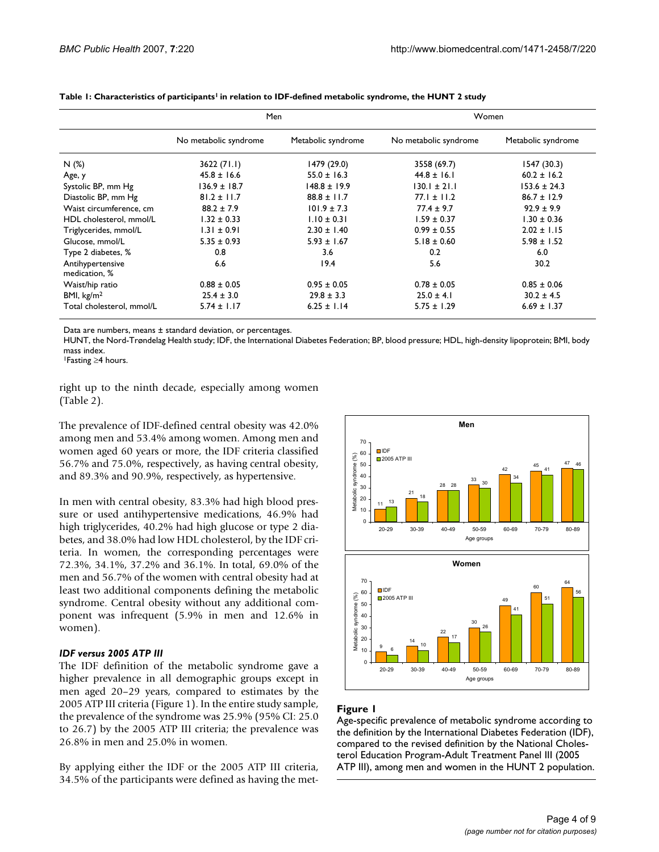|                                   | Men                   |                    | Women                 |                    |  |
|-----------------------------------|-----------------------|--------------------|-----------------------|--------------------|--|
|                                   | No metabolic syndrome | Metabolic syndrome | No metabolic syndrome | Metabolic syndrome |  |
| N(%)                              | 3622(71.1)            | 1479 (29.0)        | 3558 (69.7)           | 1547 (30.3)        |  |
| Age, y                            | $45.8 \pm 16.6$       | $55.0 \pm 16.3$    | $44.8 \pm 16.1$       | $60.2 \pm 16.2$    |  |
| Systolic BP, mm Hg                | $136.9 \pm 18.7$      | $148.8 \pm 19.9$   | $130.1 \pm 21.1$      | $153.6 \pm 24.3$   |  |
| Diastolic BP, mm Hg               | $81.2 \pm 11.7$       | $88.8 \pm 11.7$    | $77.1 \pm 11.2$       | $86.7 \pm 12.9$    |  |
| Waist circumference, cm           | $88.2 \pm 7.9$        | $101.9 \pm 7.3$    | $77.4 \pm 9.7$        | $92.9 \pm 9.9$     |  |
| HDL cholesterol, mmol/L           | $1.32 \pm 0.33$       | $1.10 \pm 0.31$    | $1.59 \pm 0.37$       | $1.30 \pm 0.36$    |  |
| Triglycerides, mmol/L             | $1.31 \pm 0.91$       | $2.30 \pm 1.40$    | $0.99 \pm 0.55$       | $2.02 \pm 1.15$    |  |
| Glucose, mmol/L                   | $5.35 \pm 0.93$       | $5.93 \pm 1.67$    | $5.18 \pm 0.60$       | $5.98 \pm 1.52$    |  |
| Type 2 diabetes, %                | 0.8                   | 3.6                | 0.2                   | 6.0                |  |
| Antihypertensive<br>medication, % | 6.6                   | 19.4               | 5.6                   | 30.2               |  |
| Waist/hip ratio                   | $0.88 \pm 0.05$       | $0.95 \pm 0.05$    | $0.78 \pm 0.05$       | $0.85 \pm 0.06$    |  |
| BMI, $\text{kg/m}^2$              | $25.4 \pm 3.0$        | $29.8 \pm 3.3$     | $25.0 \pm 4.1$        | $30.2 \pm 4.5$     |  |
| Total cholesterol, mmol/L         | $5.74 \pm 1.17$       | $6.25 \pm 1.14$    | $5.75 \pm 1.29$       | $6.69 \pm 1.37$    |  |

Table 1: Characteristics of participants<sup>1</sup> in relation to IDF-defined metabolic syndrome, the HUNT 2 study

Data are numbers, means ± standard deviation, or percentages.

HUNT, the Nord-Trøndelag Health study; IDF, the International Diabetes Federation; BP, blood pressure; HDL, high-density lipoprotein; BMI, body mass index.

1Fasting ≥4 hours.

right up to the ninth decade, especially among women (Table 2).

The prevalence of IDF-defined central obesity was 42.0% among men and 53.4% among women. Among men and women aged 60 years or more, the IDF criteria classified 56.7% and 75.0%, respectively, as having central obesity, and 89.3% and 90.9%, respectively, as hypertensive.

In men with central obesity, 83.3% had high blood pressure or used antihypertensive medications, 46.9% had high triglycerides, 40.2% had high glucose or type 2 diabetes, and 38.0% had low HDL cholesterol, by the IDF criteria. In women, the corresponding percentages were 72.3%, 34.1%, 37.2% and 36.1%. In total, 69.0% of the men and 56.7% of the women with central obesity had at least two additional components defining the metabolic syndrome. Central obesity without any additional component was infrequent (5.9% in men and 12.6% in women).

### *IDF versus 2005 ATP III*

The IDF definition of the metabolic syndrome gave a higher prevalence in all demographic groups except in men aged 20–29 years, compared to estimates by the 2005 ATP III criteria (Figure 1). In the entire study sample, the prevalence of the syndrome was 25.9% (95% CI: 25.0 to 26.7) by the 2005 ATP III criteria; the prevalence was 26.8% in men and 25.0% in women.

By applying either the IDF or the 2005 ATP III criteria, 34.5% of the participants were defined as having the met-



### Figure I

Age-specific prevalence of metabolic syndrome according to the definition by the International Diabetes Federation (IDF), compared to the revised definition by the National Cholesterol Education Program-Adult Treatment Panel III (2005 ATP III), among men and women in the HUNT 2 population.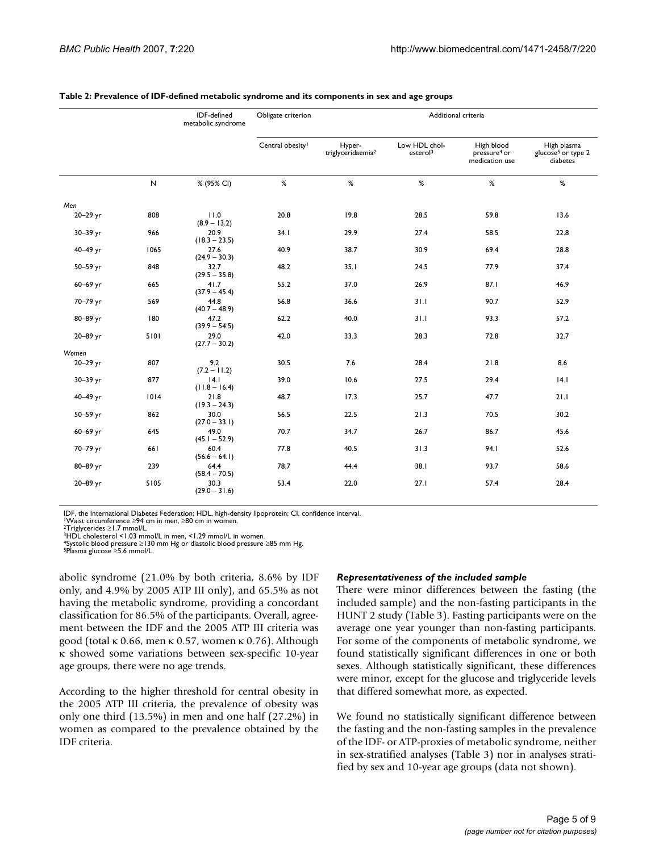|          |              | IDF-defined<br>metabolic syndrome | Obligate criterion           | Additional criteria                     |                                       |                                                          |                                                           |
|----------|--------------|-----------------------------------|------------------------------|-----------------------------------------|---------------------------------------|----------------------------------------------------------|-----------------------------------------------------------|
|          |              |                                   | Central obesity <sup>1</sup> | Hyper-<br>triglyceridaemia <sup>2</sup> | Low HDL chol-<br>esterol <sup>3</sup> | High blood<br>pressure <sup>4</sup> or<br>medication use | High plasma<br>glucose <sup>5</sup> or type 2<br>diabetes |
|          | $\mathsf{N}$ | % (95% CI)                        | %                            | %                                       | %                                     | %                                                        | %                                                         |
| Men      |              |                                   |                              |                                         |                                       |                                                          |                                                           |
| 20-29 yr | 808          | 11.0<br>$(8.9 - 13.2)$            | 20.8                         | 19.8                                    | 28.5                                  | 59.8                                                     | 13.6                                                      |
| 30-39 yr | 966          | 20.9<br>$(18.3 - 23.5)$           | 34.1                         | 29.9                                    | 27.4                                  | 58.5                                                     | 22.8                                                      |
| 40-49 yr | 1065         | 27.6<br>$(24.9 - 30.3)$           | 40.9                         | 38.7                                    | 30.9                                  | 69.4                                                     | 28.8                                                      |
| 50-59 yr | 848          | 32.7<br>$(29.5 - 35.8)$           | 48.2                         | 35.1                                    | 24.5                                  | 77.9                                                     | 37.4                                                      |
| 60-69 yr | 665          | 41.7<br>$(37.9 - 45.4)$           | 55.2                         | 37.0                                    | 26.9                                  | 87.1                                                     | 46.9                                                      |
| 70-79 yr | 569          | 44.8<br>$(40.7 - 48.9)$           | 56.8                         | 36.6                                    | 31.1                                  | 90.7                                                     | 52.9                                                      |
| 80-89 yr | 180          | 47.2<br>$(39.9 - 54.5)$           | 62.2                         | 40.0                                    | 31.1                                  | 93.3                                                     | 57.2                                                      |
| 20-89 yr | 5101         | 29.0<br>$(27.7 - 30.2)$           | 42.0                         | 33.3                                    | 28.3                                  | 72.8                                                     | 32.7                                                      |
| Women    |              |                                   |                              |                                         |                                       |                                                          |                                                           |
| 20-29 yr | 807          | 9.2<br>(7.2 – 11.2)               | 30.5                         | 7.6                                     | 28.4                                  | 21.8                                                     | 8.6                                                       |
| 30-39 yr | 877          | 4.1<br>$(11.8 - 16.4)$            | 39.0                         | 10.6                                    | 27.5                                  | 29.4                                                     | 4.1                                                       |
| 40-49 yr | 1014         | 21.8<br>$(19.3 - 24.3)$           | 48.7                         | 17.3                                    | 25.7                                  | 47.7                                                     | 21.1                                                      |
| 50-59 yr | 862          | 30.0<br>$(27.0 - 33.1)$           | 56.5                         | 22.5                                    | 21.3                                  | 70.5                                                     | 30.2                                                      |
| 60-69 yr | 645          | 49.0<br>$(45.1 - 52.9)$           | 70.7                         | 34.7                                    | 26.7                                  | 86.7                                                     | 45.6                                                      |
| 70-79 yr | 661          | 60.4<br>$(56.6 - 64.1)$           | 77.8                         | 40.5                                    | 31.3                                  | 94.I                                                     | 52.6                                                      |
| 80-89 yr | 239          | 64.4<br>$(58.4 - 70.5)$           | 78.7                         | 44.4                                    | 38.1                                  | 93.7                                                     | 58.6                                                      |
| 20-89 yr | 5105         | 30.3<br>$(29.0 - 31.6)$           | 53.4                         | 22.0                                    | 27.1                                  | 57.4                                                     | 28.4                                                      |

#### **Table 2: Prevalence of IDF-defined metabolic syndrome and its components in sex and age groups**

IDF, the International Diabetes Federation; HDL, high-density lipoprotein; CI, confidence interval<br>
<sup>1</sup>Waist circumference ≥94 cm in men, ≥80 cm in women.<br>
<sup>2</sup>Triglycerides ≥1.7 mmol/L.<br>
<sup>3</sup>HDL cholesterol <1.03 mmol/L in

4Systolic blood pressure ≥130 mm Hg or diastolic blood pressure ≥85 mm Hg. 5Plasma glucose ≥5.6 mmol/L.

abolic syndrome (21.0% by both criteria, 8.6% by IDF only, and 4.9% by 2005 ATP III only), and 65.5% as not having the metabolic syndrome, providing a concordant classification for 86.5% of the participants. Overall, agreement between the IDF and the 2005 ATP III criteria was good (total κ 0.66, men κ 0.57, women κ 0.76). Although κ showed some variations between sex-specific 10-year age groups, there were no age trends.

According to the higher threshold for central obesity in the 2005 ATP III criteria, the prevalence of obesity was only one third (13.5%) in men and one half (27.2%) in women as compared to the prevalence obtained by the IDF criteria.

### *Representativeness of the included sample*

There were minor differences between the fasting (the included sample) and the non-fasting participants in the HUNT 2 study (Table 3). Fasting participants were on the average one year younger than non-fasting participants. For some of the components of metabolic syndrome, we found statistically significant differences in one or both sexes. Although statistically significant, these differences were minor, except for the glucose and triglyceride levels that differed somewhat more, as expected.

We found no statistically significant difference between the fasting and the non-fasting samples in the prevalence of the IDF- or ATP-proxies of metabolic syndrome, neither in sex-stratified analyses (Table 3) nor in analyses stratified by sex and 10-year age groups (data not shown).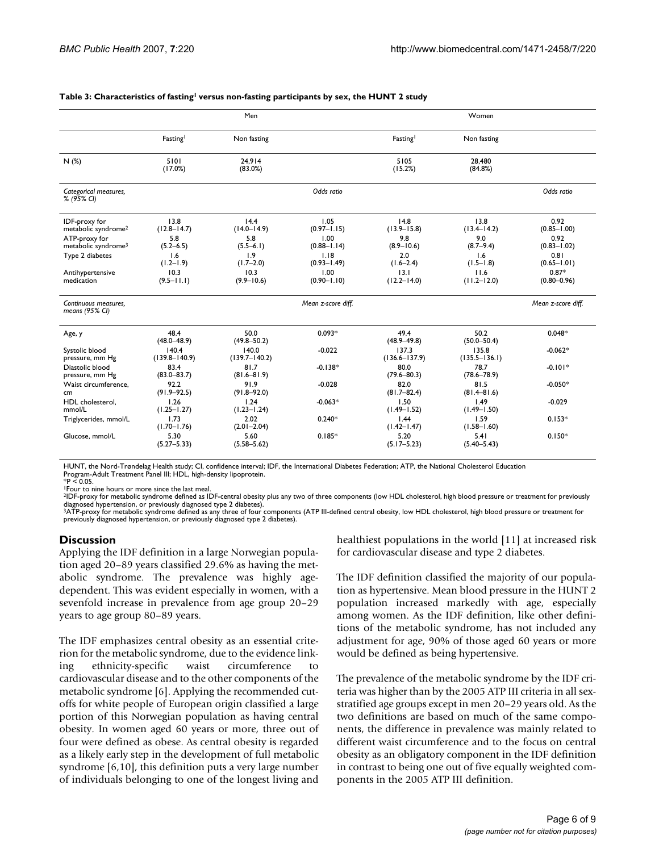|                                                  |                            | Men                        |                         |                            | Women                      |                            |
|--------------------------------------------------|----------------------------|----------------------------|-------------------------|----------------------------|----------------------------|----------------------------|
|                                                  | Fasting                    | Non fasting                |                         | Fasting                    | Non fasting                |                            |
| N(%)                                             | 5101<br>(17.0%)            | 24.914<br>(83.0%)          |                         | 5105<br>(15.2%)            | 28,480<br>(84.8%)          |                            |
| Categorical measures,<br>% (95% CI)              |                            |                            | Odds ratio              |                            |                            | Odds ratio                 |
| IDF-proxy for<br>metabolic syndrome <sup>2</sup> | 13.8<br>$(12.8 - 14.7)$    | 14.4<br>$(14.0 - 14.9)$    | 1.05<br>$(0.97 - 1.15)$ | 14.8<br>$(13.9 - 15.8)$    | 13.8<br>$(13.4 - 14.2)$    | 0.92<br>$(0.85 - 1.00)$    |
| ATP-proxy for<br>metabolic syndrome <sup>3</sup> | 5.8<br>$(5.2 - 6.5)$       | 5.8<br>$(5.5 - 6.1)$       | 1.00<br>$(0.88 - 1.14)$ | 9.8<br>$(8.9 - 10.6)$      | 9.0<br>$(8.7 - 9.4)$       | 0.92<br>$(0.83 - 1.02)$    |
| Type 2 diabetes                                  | 1.6<br>$(1.2 - 1.9)$       | 1.9<br>$(1.7 - 2.0)$       | 1.18<br>$(0.93 - 1.49)$ | 2.0<br>$(1.6 - 2.4)$       | 1.6<br>$(1.5 - 1.8)$       | 0.81<br>$(0.65 - 1.01)$    |
| Antihypertensive<br>medication                   | 10.3<br>$(9.5 - 11.1)$     | 10.3<br>$(9.9 - 10.6)$     | 1.00<br>$(0.90 - 1.10)$ | 13.1<br>$(12.2 - 14.0)$    | 11.6<br>$(11.2 - 12.0)$    | $0.87*$<br>$(0.80 - 0.96)$ |
| Continuous measures.<br>means $(95\%$ CI)        |                            |                            | Mean z-score diff.      |                            |                            | Mean z-score diff.         |
| Age, y                                           | 48.4<br>$(48.0 - 48.9)$    | 50.0<br>$(49.8 - 50.2)$    | $0.093*$                | 49.4<br>$(48.9 - 49.8)$    | 50.2<br>$(50.0 - 50.4)$    | $0.048*$                   |
| Systolic blood<br>pressure, mm Hg                | 140.4<br>$(139.8 - 140.9)$ | 140.0<br>$(139.7 - 140.2)$ | $-0.022$                | 137.3<br>$(136.6 - 137.9)$ | 135.8<br>$(135.5 - 136.1)$ | $-0.062*$                  |
| Diastolic blood<br>pressure, mm Hg               | 83.4<br>$(83.0 - 83.7)$    | 81.7<br>$(81.6 - 81.9)$    | $-0.138*$               | 80.0<br>$(79.6 - 80.3)$    | 78.7<br>$(78.6 - 78.9)$    | $-0.101*$                  |
| Waist circumference.<br>cm <sub>2</sub>          | 92.2<br>$(91.9 - 92.5)$    | 91.9<br>$(91.8 - 92.0)$    | $-0.028$                | 82.0<br>$(81.7 - 82.4)$    | 81.5<br>$(81.4 - 81.6)$    | $-0.050*$                  |
| HDL cholesterol.<br>mmol/L                       | 1.26<br>$(1.25 - 1.27)$    | 1.24<br>$(1.23 - 1.24)$    | $-0.063*$               | 1.50<br>$(1.49 - 1.52)$    | 1.49<br>$(1.49 - 1.50)$    | $-0.029$                   |
| Triglycerides, mmol/L                            | 1.73<br>$(1.70 - 1.76)$    | 2.02<br>$(2.01 - 2.04)$    | $0.240*$                | 1.44<br>$(1.42 - 1.47)$    | 1.59<br>$(1.58 - 1.60)$    | $0.153*$                   |
| Glucose, mmol/L                                  | 5.30<br>$(5.27 - 5.33)$    | 5.60<br>$(5.58 - 5.62)$    | $0.185*$                | 5.20<br>$(5.17 - 5.23)$    | 5.41<br>$(5.40 - 5.43)$    | $0.150*$                   |

#### Table 3: Characteristics of fasting<sup>1</sup> versus non-fasting participants by sex, the HUNT 2 study

HUNT, the Nord-Trøndelag Health study; CI, confidence interval; IDF, the International Diabetes Federation; ATP, the National Cholesterol Education Program-Adult Treatment Panel III; HDL, high-density lipoprotein. \*P < 0.05.

1Four to nine hours or more since the last meal.

2IDF-proxy for metabolic syndrome defined as IDF-central obesity plus any two of three components (low HDL cholesterol, high blood pressure or treatment for previously diagnosed hypertension, or previously diagnosed type 2 diabetes).<br><sup>3</sup>ATP-proxy for metabolic syndrome defined as any three of four components (ATP III-defined central obesity, low HDL cholesterol, high blood pressure or tr

previously diagnosed hypertension, or previously diagnosed type 2 diabetes).

### **Discussion**

Applying the IDF definition in a large Norwegian population aged 20–89 years classified 29.6% as having the metabolic syndrome. The prevalence was highly agedependent. This was evident especially in women, with a sevenfold increase in prevalence from age group 20–29 years to age group 80–89 years.

The IDF emphasizes central obesity as an essential criterion for the metabolic syndrome, due to the evidence linking ethnicity-specific waist circumference to cardiovascular disease and to the other components of the metabolic syndrome [6]. Applying the recommended cutoffs for white people of European origin classified a large portion of this Norwegian population as having central obesity. In women aged 60 years or more, three out of four were defined as obese. As central obesity is regarded as a likely early step in the development of full metabolic syndrome [6,10], this definition puts a very large number of individuals belonging to one of the longest living and healthiest populations in the world [11] at increased risk for cardiovascular disease and type 2 diabetes.

The IDF definition classified the majority of our population as hypertensive. Mean blood pressure in the HUNT 2 population increased markedly with age, especially among women. As the IDF definition, like other definitions of the metabolic syndrome, has not included any adjustment for age, 90% of those aged 60 years or more would be defined as being hypertensive.

The prevalence of the metabolic syndrome by the IDF criteria was higher than by the 2005 ATP III criteria in all sexstratified age groups except in men 20–29 years old. As the two definitions are based on much of the same components, the difference in prevalence was mainly related to different waist circumference and to the focus on central obesity as an obligatory component in the IDF definition in contrast to being one out of five equally weighted components in the 2005 ATP III definition.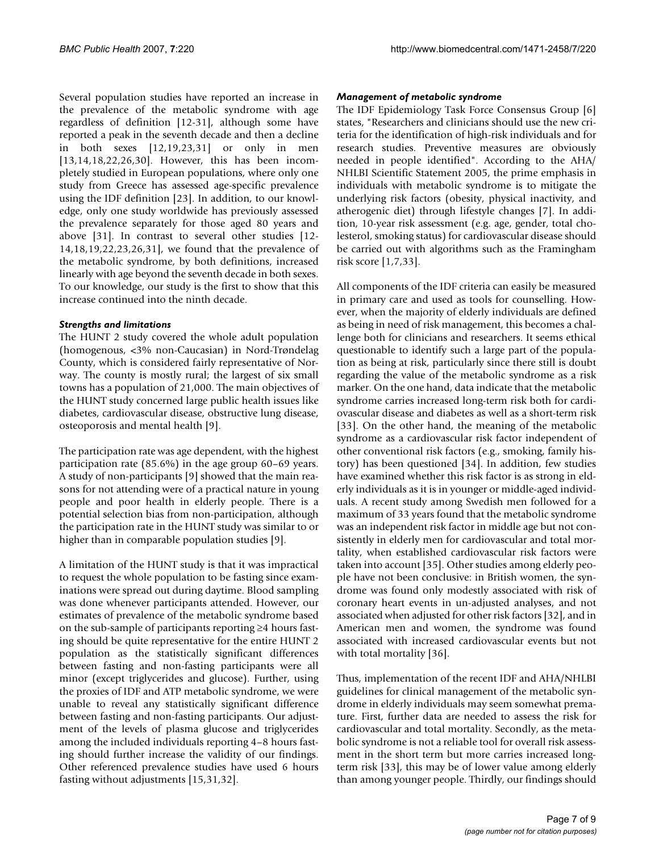Several population studies have reported an increase in the prevalence of the metabolic syndrome with age regardless of definition [12-31], although some have reported a peak in the seventh decade and then a decline in both sexes [12,19,23,31] or only in men [13,14,18,22,26,30]. However, this has been incompletely studied in European populations, where only one study from Greece has assessed age-specific prevalence using the IDF definition [23]. In addition, to our knowledge, only one study worldwide has previously assessed the prevalence separately for those aged 80 years and above [31]. In contrast to several other studies [12- 14,18,19,22,23,26,31], we found that the prevalence of the metabolic syndrome, by both definitions, increased linearly with age beyond the seventh decade in both sexes. To our knowledge, our study is the first to show that this increase continued into the ninth decade.

### *Strengths and limitations*

The HUNT 2 study covered the whole adult population (homogenous, <3% non-Caucasian) in Nord-Trøndelag County, which is considered fairly representative of Norway. The county is mostly rural; the largest of six small towns has a population of 21,000. The main objectives of the HUNT study concerned large public health issues like diabetes, cardiovascular disease, obstructive lung disease, osteoporosis and mental health [9].

The participation rate was age dependent, with the highest participation rate (85.6%) in the age group 60–69 years. A study of non-participants [9] showed that the main reasons for not attending were of a practical nature in young people and poor health in elderly people. There is a potential selection bias from non-participation, although the participation rate in the HUNT study was similar to or higher than in comparable population studies [9].

A limitation of the HUNT study is that it was impractical to request the whole population to be fasting since examinations were spread out during daytime. Blood sampling was done whenever participants attended. However, our estimates of prevalence of the metabolic syndrome based on the sub-sample of participants reporting ≥4 hours fasting should be quite representative for the entire HUNT 2 population as the statistically significant differences between fasting and non-fasting participants were all minor (except triglycerides and glucose). Further, using the proxies of IDF and ATP metabolic syndrome, we were unable to reveal any statistically significant difference between fasting and non-fasting participants. Our adjustment of the levels of plasma glucose and triglycerides among the included individuals reporting 4–8 hours fasting should further increase the validity of our findings. Other referenced prevalence studies have used 6 hours fasting without adjustments [15,31,32].

### *Management of metabolic syndrome*

The IDF Epidemiology Task Force Consensus Group [6] states, "Researchers and clinicians should use the new criteria for the identification of high-risk individuals and for research studies. Preventive measures are obviously needed in people identified". According to the AHA/ NHLBI Scientific Statement 2005, the prime emphasis in individuals with metabolic syndrome is to mitigate the underlying risk factors (obesity, physical inactivity, and atherogenic diet) through lifestyle changes [7]. In addition, 10-year risk assessment (e.g. age, gender, total cholesterol, smoking status) for cardiovascular disease should be carried out with algorithms such as the Framingham risk score [1,7,33].

All components of the IDF criteria can easily be measured in primary care and used as tools for counselling. However, when the majority of elderly individuals are defined as being in need of risk management, this becomes a challenge both for clinicians and researchers. It seems ethical questionable to identify such a large part of the population as being at risk, particularly since there still is doubt regarding the value of the metabolic syndrome as a risk marker. On the one hand, data indicate that the metabolic syndrome carries increased long-term risk both for cardiovascular disease and diabetes as well as a short-term risk [33]. On the other hand, the meaning of the metabolic syndrome as a cardiovascular risk factor independent of other conventional risk factors (e.g., smoking, family history) has been questioned [34]. In addition, few studies have examined whether this risk factor is as strong in elderly individuals as it is in younger or middle-aged individuals. A recent study among Swedish men followed for a maximum of 33 years found that the metabolic syndrome was an independent risk factor in middle age but not consistently in elderly men for cardiovascular and total mortality, when established cardiovascular risk factors were taken into account [35]. Other studies among elderly people have not been conclusive: in British women, the syndrome was found only modestly associated with risk of coronary heart events in un-adjusted analyses, and not associated when adjusted for other risk factors [32], and in American men and women, the syndrome was found associated with increased cardiovascular events but not with total mortality [36].

Thus, implementation of the recent IDF and AHA/NHLBI guidelines for clinical management of the metabolic syndrome in elderly individuals may seem somewhat premature. First, further data are needed to assess the risk for cardiovascular and total mortality. Secondly, as the metabolic syndrome is not a reliable tool for overall risk assessment in the short term but more carries increased longterm risk [33], this may be of lower value among elderly than among younger people. Thirdly, our findings should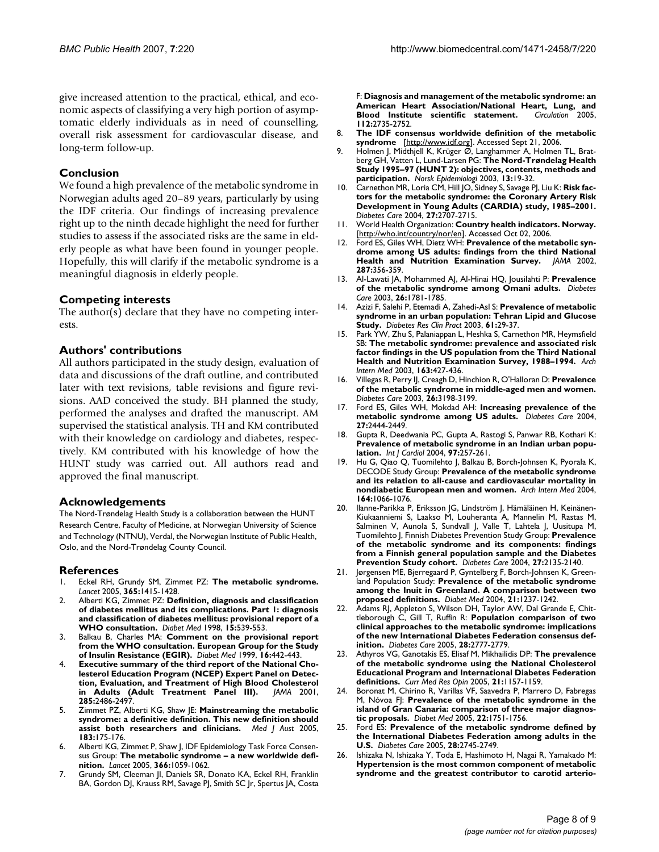give increased attention to the practical, ethical, and economic aspects of classifying a very high portion of asymptomatic elderly individuals as in need of counselling, overall risk assessment for cardiovascular disease, and long-term follow-up.

### **Conclusion**

We found a high prevalence of the metabolic syndrome in Norwegian adults aged 20–89 years, particularly by using the IDF criteria. Our findings of increasing prevalence right up to the ninth decade highlight the need for further studies to assess if the associated risks are the same in elderly people as what have been found in younger people. Hopefully, this will clarify if the metabolic syndrome is a meaningful diagnosis in elderly people.

### **Competing interests**

The author(s) declare that they have no competing interests.

### **Authors' contributions**

All authors participated in the study design, evaluation of data and discussions of the draft outline, and contributed later with text revisions, table revisions and figure revisions. AAD conceived the study. BH planned the study, performed the analyses and drafted the manuscript. AM supervised the statistical analysis. TH and KM contributed with their knowledge on cardiology and diabetes, respectively. KM contributed with his knowledge of how the HUNT study was carried out. All authors read and approved the final manuscript.

### **Acknowledgements**

The Nord-Trøndelag Health Study is a collaboration between the HUNT Research Centre, Faculty of Medicine, at Norwegian University of Science and Technology (NTNU), Verdal, the Norwegian Institute of Public Health, Oslo, and the Nord-Trøndelag County Council.

### **References**

- 1. Eckel RH, Grundy SM, Zimmet PZ: **[The metabolic syndrome.](http://www.ncbi.nlm.nih.gov/entrez/query.fcgi?cmd=Retrieve&db=PubMed&dopt=Abstract&list_uids=15836891)** *Lancet* 2005, **365:**1415-1428.
- 2. Alberti KG, Zimmet PZ: **[Definition, diagnosis and classification](http://www.ncbi.nlm.nih.gov/entrez/query.fcgi?cmd=Retrieve&db=PubMed&dopt=Abstract&list_uids=9686693) of diabetes mellitus and its complications. Part 1: diagnosis [and classification of diabetes mellitus: provisional report of a](http://www.ncbi.nlm.nih.gov/entrez/query.fcgi?cmd=Retrieve&db=PubMed&dopt=Abstract&list_uids=9686693) [WHO consultation.](http://www.ncbi.nlm.nih.gov/entrez/query.fcgi?cmd=Retrieve&db=PubMed&dopt=Abstract&list_uids=9686693)** *Diabet Med* 1998, **15:**539-553.
- 3. Balkau B, Charles MA: **[Comment on the provisional report](http://www.ncbi.nlm.nih.gov/entrez/query.fcgi?cmd=Retrieve&db=PubMed&dopt=Abstract&list_uids=10342346) [from the WHO consultation. European Group for the Study](http://www.ncbi.nlm.nih.gov/entrez/query.fcgi?cmd=Retrieve&db=PubMed&dopt=Abstract&list_uids=10342346) [of Insulin Resistance \(EGIR\).](http://www.ncbi.nlm.nih.gov/entrez/query.fcgi?cmd=Retrieve&db=PubMed&dopt=Abstract&list_uids=10342346)** *Diabet Med* 1999, **16:**442-443.
- 4. **[Executive summary of the third report of the National Cho](http://www.ncbi.nlm.nih.gov/entrez/query.fcgi?cmd=Retrieve&db=PubMed&dopt=Abstract&list_uids=11368702)**lesterol Education Program (NCEP) Expert Panel on Detec**[tion, Evaluation, and Treatment of High Blood Cholesterol](http://www.ncbi.nlm.nih.gov/entrez/query.fcgi?cmd=Retrieve&db=PubMed&dopt=Abstract&list_uids=11368702) [in Adults \(Adult Treatment Panel III\).](http://www.ncbi.nlm.nih.gov/entrez/query.fcgi?cmd=Retrieve&db=PubMed&dopt=Abstract&list_uids=11368702)** *JAMA* 2001, **285:**2486-2497.
- 5. Zimmet PZ, Alberti KG, Shaw JE: **[Mainstreaming the metabolic](http://www.ncbi.nlm.nih.gov/entrez/query.fcgi?cmd=Retrieve&db=PubMed&dopt=Abstract&list_uids=16097912) [syndrome: a definitive definition. This new definition should](http://www.ncbi.nlm.nih.gov/entrez/query.fcgi?cmd=Retrieve&db=PubMed&dopt=Abstract&list_uids=16097912) [assist both researchers and clinicians.](http://www.ncbi.nlm.nih.gov/entrez/query.fcgi?cmd=Retrieve&db=PubMed&dopt=Abstract&list_uids=16097912)** *Med J Aust* 2005, **183:**175-176.
- 6. Alberti KG, Zimmet P, Shaw J, IDF Epidemiology Task Force Consensus Group: **[The metabolic syndrome – a new worldwide defi](http://www.ncbi.nlm.nih.gov/entrez/query.fcgi?cmd=Retrieve&db=PubMed&dopt=Abstract&list_uids=16182882)[nition.](http://www.ncbi.nlm.nih.gov/entrez/query.fcgi?cmd=Retrieve&db=PubMed&dopt=Abstract&list_uids=16182882)** *Lancet* 2005, **366:**1059-1062.
- 7. Grundy SM, Cleeman JI, Daniels SR, Donato KA, Eckel RH, Franklin BA, Gordon DJ, Krauss RM, Savage PJ, Smith SC Jr, Spertus JA, Costa

F: **[Diagnosis and management of the metabolic syndrome: an](http://www.ncbi.nlm.nih.gov/entrez/query.fcgi?cmd=Retrieve&db=PubMed&dopt=Abstract&list_uids=16157765) [American Heart Association/National Heart, Lung, and](http://www.ncbi.nlm.nih.gov/entrez/query.fcgi?cmd=Retrieve&db=PubMed&dopt=Abstract&list_uids=16157765) [Blood Institute scientific statement.](http://www.ncbi.nlm.nih.gov/entrez/query.fcgi?cmd=Retrieve&db=PubMed&dopt=Abstract&list_uids=16157765) 112:**2735-2752.

- 8. **The IDF consensus worldwide definition of the metabolic syndrome** [[http://www.idf.org\]](http://www.idf.org). Accessed Sept 21, 2006.
- 9. Holmen J, Midthjell K, Krüger Ø, Langhammer A, Holmen TL, Bratberg GH, Vatten L, Lund-Larsen PG: **The Nord-Trøndelag Health Study 1995–97 (HUNT 2): objectives, contents, methods and participation.** *Norsk Epidemiologi* 2003, **13:**19-32.
- 10. Carnethon MR, Loria CM, Hill JO, Sidney S, Savage PJ, Liu K: **[Risk fac](http://www.ncbi.nlm.nih.gov/entrez/query.fcgi?cmd=Retrieve&db=PubMed&dopt=Abstract&list_uids=15505009)tors for the metabolic syndrome: the Coronary Artery Risk [Development in Young Adults \(CARDIA\) study, 1985–2001.](http://www.ncbi.nlm.nih.gov/entrez/query.fcgi?cmd=Retrieve&db=PubMed&dopt=Abstract&list_uids=15505009)** *Diabetes Care* 2004, **27:**2707-2715.
- 11. World Health Organization: **Country health indicators. Norway.** [<http://who.int/country/nor/en>]. Accessed Oct 02, 2006.
- 12. Ford ES, Giles WH, Dietz WH: **[Prevalence of the metabolic syn](http://www.ncbi.nlm.nih.gov/entrez/query.fcgi?cmd=Retrieve&db=PubMed&dopt=Abstract&list_uids=11790215)[drome among US adults: findings from the third National](http://www.ncbi.nlm.nih.gov/entrez/query.fcgi?cmd=Retrieve&db=PubMed&dopt=Abstract&list_uids=11790215) [Health and Nutrition Examination Survey.](http://www.ncbi.nlm.nih.gov/entrez/query.fcgi?cmd=Retrieve&db=PubMed&dopt=Abstract&list_uids=11790215)** *JAMA* 2002, **287:**356-359.
- 13. Al-Lawati JA, Mohammed AJ, Al-Hinai HQ, Jousilahti P: **[Prevalence](http://www.ncbi.nlm.nih.gov/entrez/query.fcgi?cmd=Retrieve&db=PubMed&dopt=Abstract&list_uids=12766109) [of the metabolic syndrome among Omani adults.](http://www.ncbi.nlm.nih.gov/entrez/query.fcgi?cmd=Retrieve&db=PubMed&dopt=Abstract&list_uids=12766109)** *Diabetes Care* 2003, **26:**1781-1785.
- 14. Azizi F, Salehi P, Etemadi A, Zahedi-Asl S: **[Prevalence of metabolic](http://www.ncbi.nlm.nih.gov/entrez/query.fcgi?cmd=Retrieve&db=PubMed&dopt=Abstract&list_uids=12849921) [syndrome in an urban population: Tehran Lipid and Glucose](http://www.ncbi.nlm.nih.gov/entrez/query.fcgi?cmd=Retrieve&db=PubMed&dopt=Abstract&list_uids=12849921) [Study.](http://www.ncbi.nlm.nih.gov/entrez/query.fcgi?cmd=Retrieve&db=PubMed&dopt=Abstract&list_uids=12849921)** *Diabetes Res Clin Pract* 2003, **61:**29-37.
- 15. Park YW, Zhu S, Palaniappan L, Heshka S, Carnethon MR, Heymsfield SB: **[The metabolic syndrome: prevalence and associated risk](http://www.ncbi.nlm.nih.gov/entrez/query.fcgi?cmd=Retrieve&db=PubMed&dopt=Abstract&list_uids=12588201) [factor findings in the US population from the Third National](http://www.ncbi.nlm.nih.gov/entrez/query.fcgi?cmd=Retrieve&db=PubMed&dopt=Abstract&list_uids=12588201) [Health and Nutrition Examination Survey, 1988–1994.](http://www.ncbi.nlm.nih.gov/entrez/query.fcgi?cmd=Retrieve&db=PubMed&dopt=Abstract&list_uids=12588201)** *Arch Intern Med* 2003, **163:**427-436.
- 16. Villegas R, Perry IJ, Creagh D, Hinchion R, O'Halloran D: **[Prevalence](http://www.ncbi.nlm.nih.gov/entrez/query.fcgi?cmd=Retrieve&db=PubMed&dopt=Abstract&list_uids=14578275) [of the metabolic syndrome in middle-aged men and women.](http://www.ncbi.nlm.nih.gov/entrez/query.fcgi?cmd=Retrieve&db=PubMed&dopt=Abstract&list_uids=14578275)** *Diabetes Care* 2003, **26:**3198-3199.
- 17. Ford ES, Giles WH, Mokdad AH: **[Increasing prevalence of the](http://www.ncbi.nlm.nih.gov/entrez/query.fcgi?cmd=Retrieve&db=PubMed&dopt=Abstract&list_uids=15451914) [metabolic syndrome among US adults.](http://www.ncbi.nlm.nih.gov/entrez/query.fcgi?cmd=Retrieve&db=PubMed&dopt=Abstract&list_uids=15451914)** *Diabetes Care* 2004, **27:**2444-2449.
- 18. Gupta R, Deedwania PC, Gupta A, Rastogi S, Panwar RB, Kothari K: **[Prevalence of metabolic syndrome in an Indian urban popu](http://www.ncbi.nlm.nih.gov/entrez/query.fcgi?cmd=Retrieve&db=PubMed&dopt=Abstract&list_uids=15458693)[lation.](http://www.ncbi.nlm.nih.gov/entrez/query.fcgi?cmd=Retrieve&db=PubMed&dopt=Abstract&list_uids=15458693)** *Int J Cardiol* 2004, **97:**257-261.
- 19. Hu G, Qiao Q, Tuomilehto J, Balkau B, Borch-Johnsen K, Pyorala K, DECODE Study Group: **[Prevalence of the metabolic syndrome](http://www.ncbi.nlm.nih.gov/entrez/query.fcgi?cmd=Retrieve&db=PubMed&dopt=Abstract&list_uids=15159263) [and its relation to all-cause and cardiovascular mortality in](http://www.ncbi.nlm.nih.gov/entrez/query.fcgi?cmd=Retrieve&db=PubMed&dopt=Abstract&list_uids=15159263) [nondiabetic European men and women.](http://www.ncbi.nlm.nih.gov/entrez/query.fcgi?cmd=Retrieve&db=PubMed&dopt=Abstract&list_uids=15159263)** *Arch Intern Med* 2004, **164:**1066-1076.
- 20. Ilanne-Parikka P, Eriksson JG, Lindström J, Hämäläinen H, Keinänen-Kiukaanniemi S, Laakso M, Louheranta A, Mannelin M, Rastas M, Salminen V, Aunola S, Sundvall J, Valle T, Lahtela J, Uusitupa M, Tuomilehto J, Finnish Diabetes Prevention Study Group: **[Prevalence](http://www.ncbi.nlm.nih.gov/entrez/query.fcgi?cmd=Retrieve&db=PubMed&dopt=Abstract&list_uids=15333474) of the metabolic syndrome and its components: findings [from a Finnish general population sample and the Diabetes](http://www.ncbi.nlm.nih.gov/entrez/query.fcgi?cmd=Retrieve&db=PubMed&dopt=Abstract&list_uids=15333474) [Prevention Study cohort.](http://www.ncbi.nlm.nih.gov/entrez/query.fcgi?cmd=Retrieve&db=PubMed&dopt=Abstract&list_uids=15333474)** *Diabetes Care* 2004, **27:**2135-2140.
- 21. Jørgensen ME, Bjerregaard P, Gyntelberg F, Borch-Johnsen K, Greenland Population Study: **[Prevalence of the metabolic syndrome](http://www.ncbi.nlm.nih.gov/entrez/query.fcgi?cmd=Retrieve&db=PubMed&dopt=Abstract&list_uids=15498091) [among the Inuit in Greenland. A comparison between two](http://www.ncbi.nlm.nih.gov/entrez/query.fcgi?cmd=Retrieve&db=PubMed&dopt=Abstract&list_uids=15498091) [proposed definitions.](http://www.ncbi.nlm.nih.gov/entrez/query.fcgi?cmd=Retrieve&db=PubMed&dopt=Abstract&list_uids=15498091)** *Diabet Med* 2004, **21:**1237-1242.
- 22. Adams RJ, Appleton S, Wilson DH, Taylor AW, Dal Grande E, Chittleborough C, Gill T, Ruffin R: **[Population comparison of two](http://www.ncbi.nlm.nih.gov/entrez/query.fcgi?cmd=Retrieve&db=PubMed&dopt=Abstract&list_uids=16249557) clinical approaches to the metabolic syndrome: implications [of the new International Diabetes Federation consensus def](http://www.ncbi.nlm.nih.gov/entrez/query.fcgi?cmd=Retrieve&db=PubMed&dopt=Abstract&list_uids=16249557)[inition.](http://www.ncbi.nlm.nih.gov/entrez/query.fcgi?cmd=Retrieve&db=PubMed&dopt=Abstract&list_uids=16249557)** *Diabetes Care* 2005, **28:**2777-2779.
- 23. Athyros VG, Ganotakis ES, Elisaf M, Mikhailidis DP: **[The prevalence](http://www.ncbi.nlm.nih.gov/entrez/query.fcgi?cmd=Retrieve&db=PubMed&dopt=Abstract&list_uids=16083523) of the metabolic syndrome using the National Cholesterol [Educational Program and International Diabetes Federation](http://www.ncbi.nlm.nih.gov/entrez/query.fcgi?cmd=Retrieve&db=PubMed&dopt=Abstract&list_uids=16083523) [definitions.](http://www.ncbi.nlm.nih.gov/entrez/query.fcgi?cmd=Retrieve&db=PubMed&dopt=Abstract&list_uids=16083523)** *Curr Med Res Opin* 2005, **21:**1157-1159.
- 24. Boronat M, Chirino R, Varillas VF, Saavedra P, Marrero D, Fabregas M, Nóvoa FJ: **[Prevalence of the metabolic syndrome in the](http://www.ncbi.nlm.nih.gov/entrez/query.fcgi?cmd=Retrieve&db=PubMed&dopt=Abstract&list_uids=16401323) [island of Gran Canaria: comparison of three major diagnos](http://www.ncbi.nlm.nih.gov/entrez/query.fcgi?cmd=Retrieve&db=PubMed&dopt=Abstract&list_uids=16401323)[tic proposals.](http://www.ncbi.nlm.nih.gov/entrez/query.fcgi?cmd=Retrieve&db=PubMed&dopt=Abstract&list_uids=16401323)** *Diabet Med* 2005, **22:**1751-1756.
- 25. Ford ES: **[Prevalence of the metabolic syndrome defined by](http://www.ncbi.nlm.nih.gov/entrez/query.fcgi?cmd=Retrieve&db=PubMed&dopt=Abstract&list_uids=16249550) [the International Diabetes Federation among adults in the](http://www.ncbi.nlm.nih.gov/entrez/query.fcgi?cmd=Retrieve&db=PubMed&dopt=Abstract&list_uids=16249550) [U.S.](http://www.ncbi.nlm.nih.gov/entrez/query.fcgi?cmd=Retrieve&db=PubMed&dopt=Abstract&list_uids=16249550)** *Diabetes Care* 2005, **28:**2745-2749.
- 26. Ishizaka N, Ishizaka Y, Toda E, Hashimoto H, Nagai R, Yamakado M: **[Hypertension is the most common component of metabolic](http://www.ncbi.nlm.nih.gov/entrez/query.fcgi?cmd=Retrieve&db=PubMed&dopt=Abstract&list_uids=15969252) [syndrome and the greatest contributor to carotid arterio](http://www.ncbi.nlm.nih.gov/entrez/query.fcgi?cmd=Retrieve&db=PubMed&dopt=Abstract&list_uids=15969252)-**